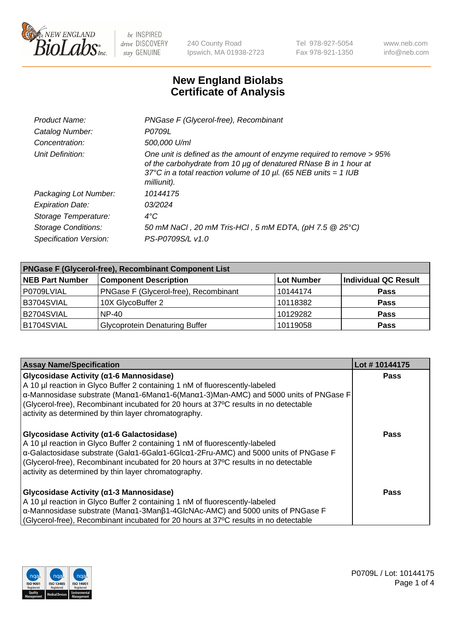

240 County Road Ipswich, MA 01938-2723 Tel 978-927-5054 Fax 978-921-1350 www.neb.com info@neb.com

## **New England Biolabs Certificate of Analysis**

| Product Name:              | PNGase F (Glycerol-free), Recombinant                                                                                                                                                                                           |
|----------------------------|---------------------------------------------------------------------------------------------------------------------------------------------------------------------------------------------------------------------------------|
| Catalog Number:            | P0709L                                                                                                                                                                                                                          |
| Concentration:             | 500,000 U/ml                                                                                                                                                                                                                    |
| Unit Definition:           | One unit is defined as the amount of enzyme required to remove > 95%<br>of the carbohydrate from 10 µg of denatured RNase B in 1 hour at<br>37°C in a total reaction volume of 10 $\mu$ l. (65 NEB units = 1 IUB<br>milliunit). |
| Packaging Lot Number:      | 10144175                                                                                                                                                                                                                        |
| <b>Expiration Date:</b>    | 03/2024                                                                                                                                                                                                                         |
| Storage Temperature:       | $4^{\circ}$ C                                                                                                                                                                                                                   |
| <b>Storage Conditions:</b> | 50 mM NaCl, 20 mM Tris-HCl, 5 mM EDTA, (pH 7.5 @ 25°C)                                                                                                                                                                          |
| Specification Version:     | PS-P0709S/L v1.0                                                                                                                                                                                                                |

| <b>PNGase F (Glycerol-free), Recombinant Component List</b> |                                       |                   |                      |  |
|-------------------------------------------------------------|---------------------------------------|-------------------|----------------------|--|
| <b>NEB Part Number</b>                                      | <b>Component Description</b>          | <b>Lot Number</b> | Individual QC Result |  |
| P0709LVIAL                                                  | PNGase F (Glycerol-free), Recombinant | 10144174          | <b>Pass</b>          |  |
| B3704SVIAL                                                  | 10X GlycoBuffer 2                     | 10118382          | <b>Pass</b>          |  |
| B2704SVIAL                                                  | $NP-40$                               | 10129282          | <b>Pass</b>          |  |
| B1704SVIAL                                                  | <b>Glycoprotein Denaturing Buffer</b> | 10119058          | <b>Pass</b>          |  |

| <b>Assay Name/Specification</b>                                                                                                                                                                                                                                                                                                                                 | Lot #10144175 |
|-----------------------------------------------------------------------------------------------------------------------------------------------------------------------------------------------------------------------------------------------------------------------------------------------------------------------------------------------------------------|---------------|
| Glycosidase Activity (α1-6 Mannosidase)<br>A 10 µl reaction in Glyco Buffer 2 containing 1 nM of fluorescently-labeled<br>α-Mannosidase substrate (Μanα1-6Μanα1-6(Μanα1-3)Man-AMC) and 5000 units of PNGase F<br>(Glycerol-free), Recombinant incubated for 20 hours at 37°C results in no detectable<br>activity as determined by thin layer chromatography.   | <b>Pass</b>   |
| Glycosidase Activity (α1-6 Galactosidase)<br>A 10 µl reaction in Glyco Buffer 2 containing 1 nM of fluorescently-labeled<br>α-Galactosidase substrate (Galα1-6Galα1-6Glcα1-2Fru-AMC) and 5000 units of PNGase F<br>(Glycerol-free), Recombinant incubated for 20 hours at 37°C results in no detectable<br>activity as determined by thin layer chromatography. | Pass          |
| Glycosidase Activity (α1-3 Mannosidase)<br>A 10 µl reaction in Glyco Buffer 2 containing 1 nM of fluorescently-labeled<br>α-Mannosidase substrate (Manα1-3Manβ1-4GlcNAc-AMC) and 5000 units of PNGase F<br>(Glycerol-free), Recombinant incubated for 20 hours at 37°C results in no detectable                                                                 | Pass          |

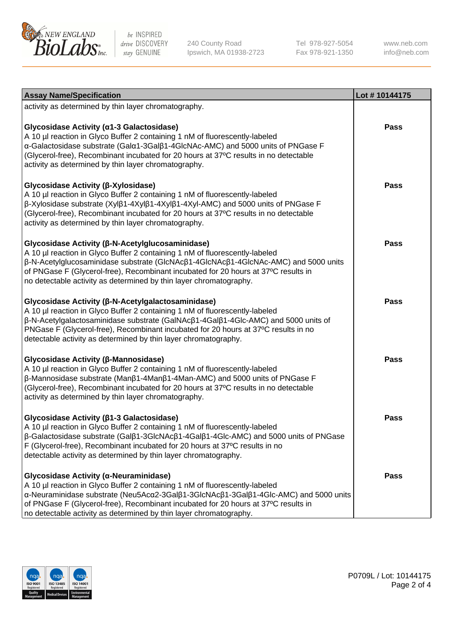

240 County Road Ipswich, MA 01938-2723 Tel 978-927-5054 Fax 978-921-1350

www.neb.com info@neb.com

| <b>Assay Name/Specification</b>                                                                                                                                                                                                                                                                                                                                                       | Lot #10144175 |
|---------------------------------------------------------------------------------------------------------------------------------------------------------------------------------------------------------------------------------------------------------------------------------------------------------------------------------------------------------------------------------------|---------------|
| activity as determined by thin layer chromatography.                                                                                                                                                                                                                                                                                                                                  |               |
| Glycosidase Activity (a1-3 Galactosidase)<br>A 10 µl reaction in Glyco Buffer 2 containing 1 nM of fluorescently-labeled<br>α-Galactosidase substrate (Galα1-3Galβ1-4GlcNAc-AMC) and 5000 units of PNGase F<br>(Glycerol-free), Recombinant incubated for 20 hours at 37°C results in no detectable<br>activity as determined by thin layer chromatography.                           | <b>Pass</b>   |
| Glycosidase Activity (β-Xylosidase)<br>A 10 µl reaction in Glyco Buffer 2 containing 1 nM of fluorescently-labeled<br>$\beta$ -Xylosidase substrate (Xyl $\beta$ 1-4Xyl $\beta$ 1-4Xyl $\beta$ 1-4Xyl-AMC) and 5000 units of PNGase F<br>(Glycerol-free), Recombinant incubated for 20 hours at 37°C results in no detectable<br>activity as determined by thin layer chromatography. | <b>Pass</b>   |
| Glycosidase Activity (β-N-Acetylglucosaminidase)<br>A 10 µl reaction in Glyco Buffer 2 containing 1 nM of fluorescently-labeled<br>β-N-Acetylglucosaminidase substrate (GIcNAcβ1-4GIcNAcβ1-4GIcNAc-AMC) and 5000 units<br>of PNGase F (Glycerol-free), Recombinant incubated for 20 hours at 37°C results in<br>no detectable activity as determined by thin layer chromatography.    | <b>Pass</b>   |
| Glycosidase Activity (β-N-Acetylgalactosaminidase)<br>A 10 µl reaction in Glyco Buffer 2 containing 1 nM of fluorescently-labeled<br>β-N-Acetylgalactosaminidase substrate (GalNAcβ1-4Galβ1-4Glc-AMC) and 5000 units of<br>PNGase F (Glycerol-free), Recombinant incubated for 20 hours at 37°C results in no<br>detectable activity as determined by thin layer chromatography.      | <b>Pass</b>   |
| Glycosidase Activity (β-Mannosidase)<br>A 10 µl reaction in Glyco Buffer 2 containing 1 nM of fluorescently-labeled<br>β-Mannosidase substrate (Manβ1-4Manβ1-4Man-AMC) and 5000 units of PNGase F<br>(Glycerol-free), Recombinant incubated for 20 hours at 37°C results in no detectable<br>activity as determined by thin layer chromatography.                                     | <b>Pass</b>   |
| Glycosidase Activity (β1-3 Galactosidase)<br>A 10 µl reaction in Glyco Buffer 2 containing 1 nM of fluorescently-labeled<br>β-Galactosidase substrate (Galβ1-3GlcNAcβ1-4Galβ1-4Glc-AMC) and 5000 units of PNGase<br>F (Glycerol-free), Recombinant incubated for 20 hours at 37°C results in no<br>detectable activity as determined by thin layer chromatography.                    | <b>Pass</b>   |
| Glycosidase Activity (α-Neuraminidase)<br>A 10 µl reaction in Glyco Buffer 2 containing 1 nM of fluorescently-labeled<br>α-Neuraminidase substrate (Neu5Acα2-3Galβ1-3GlcNAcβ1-3Galβ1-4Glc-AMC) and 5000 units<br>of PNGase F (Glycerol-free), Recombinant incubated for 20 hours at 37°C results in<br>no detectable activity as determined by thin layer chromatography.             | Pass          |

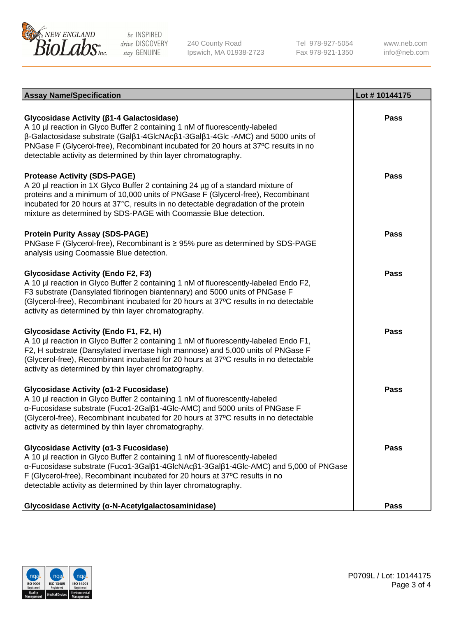

240 County Road Ipswich, MA 01938-2723 Tel 978-927-5054 Fax 978-921-1350 www.neb.com info@neb.com

| <b>Assay Name/Specification</b>                                                                                                                                                                                                                                                                                                                                                                    | Lot #10144175 |
|----------------------------------------------------------------------------------------------------------------------------------------------------------------------------------------------------------------------------------------------------------------------------------------------------------------------------------------------------------------------------------------------------|---------------|
| Glycosidase Activity (β1-4 Galactosidase)<br>A 10 µl reaction in Glyco Buffer 2 containing 1 nM of fluorescently-labeled<br>$\beta$ -Galactosidase substrate (Gal $\beta$ 1-4GlcNAc $\beta$ 1-3Gal $\beta$ 1-4Glc -AMC) and 5000 units of<br>PNGase F (Glycerol-free), Recombinant incubated for 20 hours at 37°C results in no<br>detectable activity as determined by thin layer chromatography. | <b>Pass</b>   |
| <b>Protease Activity (SDS-PAGE)</b><br>A 20 µl reaction in 1X Glyco Buffer 2 containing 24 µg of a standard mixture of<br>proteins and a minimum of 10,000 units of PNGase F (Glycerol-free), Recombinant<br>incubated for 20 hours at 37°C, results in no detectable degradation of the protein<br>mixture as determined by SDS-PAGE with Coomassie Blue detection.                               | <b>Pass</b>   |
| <b>Protein Purity Assay (SDS-PAGE)</b><br>PNGase F (Glycerol-free), Recombinant is ≥ 95% pure as determined by SDS-PAGE<br>analysis using Coomassie Blue detection.                                                                                                                                                                                                                                | <b>Pass</b>   |
| <b>Glycosidase Activity (Endo F2, F3)</b><br>A 10 µl reaction in Glyco Buffer 2 containing 1 nM of fluorescently-labeled Endo F2,<br>F3 substrate (Dansylated fibrinogen biantennary) and 5000 units of PNGase F<br>(Glycerol-free), Recombinant incubated for 20 hours at 37°C results in no detectable<br>activity as determined by thin layer chromatography.                                   | <b>Pass</b>   |
| Glycosidase Activity (Endo F1, F2, H)<br>A 10 µl reaction in Glyco Buffer 2 containing 1 nM of fluorescently-labeled Endo F1,<br>F2, H substrate (Dansylated invertase high mannose) and 5,000 units of PNGase F<br>(Glycerol-free), Recombinant incubated for 20 hours at 37°C results in no detectable<br>activity as determined by thin layer chromatography.                                   | <b>Pass</b>   |
| Glycosidase Activity (α1-2 Fucosidase)<br>A 10 µl reaction in Glyco Buffer 2 containing 1 nM of fluorescently-labeled<br>α-Fucosidase substrate (Fucα1-2Galβ1-4Glc-AMC) and 5000 units of PNGase F<br>(Glycerol-free), Recombinant incubated for 20 hours at 37°C results in no detectable<br>activity as determined by thin layer chromatography.                                                 | <b>Pass</b>   |
| Glycosidase Activity (α1-3 Fucosidase)<br>A 10 µl reaction in Glyco Buffer 2 containing 1 nM of fluorescently-labeled<br>α-Fucosidase substrate (Fucα1-3Galβ1-4GlcNAcβ1-3Galβ1-4Glc-AMC) and 5,000 of PNGase<br>F (Glycerol-free), Recombinant incubated for 20 hours at 37°C results in no<br>detectable activity as determined by thin layer chromatography.                                     | <b>Pass</b>   |
| Glycosidase Activity (α-N-Acetylgalactosaminidase)                                                                                                                                                                                                                                                                                                                                                 | Pass          |